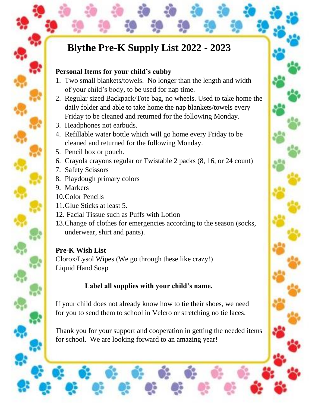# **Blythe Pre-K Supply List 2022 - 2023**

### **Personal Items for your child's cubby**

- 1. Two small blankets/towels. No longer than the length and width of your child's body, to be used for nap time.
- 2. Regular sized Backpack/Tote bag, no wheels. Used to take home the daily folder and able to take home the nap blankets/towels every Friday to be cleaned and returned for the following Monday.
- 3. Headphones not earbuds.
- 4. Refillable water bottle which will go home every Friday to be cleaned and returned for the following Monday.
- 5. Pencil box or pouch.
- 6. Crayola crayons regular or Twistable 2 packs (8, 16, or 24 count)
- 7. Safety Scissors
- 8. Playdough primary colors
- 9. Markers
- 10.Color Pencils
- 11.Glue Sticks at least 5.
- 12. Facial Tissue such as Puffs with Lotion
- 13.Change of clothes for emergencies according to the season (socks, underwear, shirt and pants).

## **Pre-K Wish List**

Clorox/Lysol Wipes (We go through these like crazy!) Liquid Hand Soap

# **Label all supplies with your child's name.**

If your child does not already know how to tie their shoes, we need for you to send them to school in Velcro or stretching no tie laces.

Thank you for your support and cooperation in getting the needed items for school. We are looking forward to an amazing year!